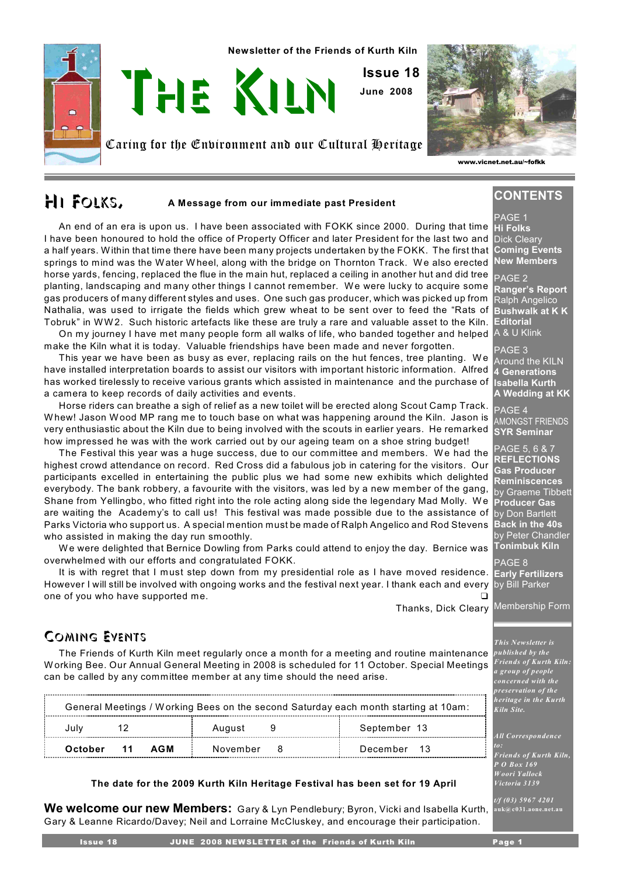

# **HI FOLKS,** A Message from our immediate past President

An end of an era is upon us. I have been associated with FOKK since 2000. During that time I have been honoured to hold the office of Property Officer and later President for the last two and a half years. W ithin that time there have been many projects undertaken by the FOKK. The first that springs to mind was the Water Wheel, along with the bridge on Thornton Track. We also erected horse yards, fencing, replaced the flue in the main hut, replaced a ceiling in another hut and did tree planting, landscaping and many other things I cannot remember. We were lucky to acquire some gas producers of many different styles and uses. One such gas producer, which was picked up from Nathalia, was used to irrigate the fields which grew wheat to be sent over to feed the "Rats of Tobruk" in WW 2. Such historic artefacts like these are truly a rare and valuable asset to the Kiln.

On my journey I have met many people form all walks of life, who banded together and helped  $\,$  A & U Klink make the Kiln what it is today. Valuable friendships have been made and never forgotten.

has worked tirelessly to receive various grants which assisted in maintenance and the purchase of <sub>Isabella Kurth</sub> This year we have been as busy as ever, replacing rails on the hut fences, tree planting. W e have installed interpretation boards to assist our visitors with important historic information. Alfred a camera to keep records of daily activities and events.

very enthusiastic about the Kiln due to being involved with the scouts in earlier years. He remarked <sub>ISYR</sub> Seminar Horse riders can breathe a sigh of relief as a new toilet will be erected along Scout Camp Track. W hew! Jason W ood MP rang me to touch base on what was happening around the Kiln. Jason is how impressed he was with the work carried out by our ageing team on a shoe string budget!

The Festival this year was a huge success, due to our committee and members. We had the highest crowd attendance on record. Red Cross did a fabulous job in catering for the visitors. Our participants excelled in entertaining the public plus we had some new exhibits which delighted everybody. The bank robbery, a favourite with the visitors, was led by a new member of the gang, Shane from Yellingbo, who fitted right into the role acting along side the legendary Mad Molly. We are waiting the Academy's to call us! This festival was made possible due to the assistance of Parks Victoria who support us. A special mention must be made of Ralph Angelico and Rod Stevens who assisted in making the day run smoothly.

We were delighted that Bernice Dowling from Parks could attend to enjoy the day. Bernice was overwhelmed with our efforts and congratulated FOKK.

It is with regret that I must step down from my presidential role as I have moved residence. However I will still be involved with ongoing works and the festival next year. I thank each and every one of you who have supported me.

Thanks, Dick Cleary

# Coming Events

The Friends of Kurth Kiln meet regularly once a month for a meeting and routine maintenance W orking Bee. Our Annual General Meeting in 2008 is scheduled for 11 October. Special Meetings can be called by any committee member at any time should the need arise.

| General Meetings / Working Bees on the second Saturday each month starting at 10am: |          |              |  |  |
|-------------------------------------------------------------------------------------|----------|--------------|--|--|
|                                                                                     | August   | September 13 |  |  |
| October<br>AGM<br>$-11$                                                             | November | December 13  |  |  |

# **The date for the 2009 Kurth Kiln Heritage Festival has been set for 19 April**

**We welcome our new Members:** Gary & Lyn Pendlebury; Byron, Vicki and Isabella Kurth, Gary & Leanne Ricardo/Davey; Neil and Lorraine McCluskey, and encourage their participation.

**CONTENTS**

PAGE 1 **Hi Folks** Dick Cleary **Coming Events New Members**

PAGE 2 **Ranger's Report** Ralph Angelico **Bushwalk at K K Editorial**

AGE<sub>3</sub> Around the KILN **4 Generations A Wedding at KK**

 $\overline{PAGE}$  4 AMONGST FRIENDS

PAGE 5, 6 & 7 **REFLECTIONS Gas Producer Reminiscences** by Graeme Tibbett **Producer Gas** by Don Bartlett **Back in the 40s** by Peter Chandler **Tonimbuk Kiln**

PAGE 8 **Early Fertilizers** by Bill Parker

Membership Form

#### *This Newsletter is published by the Friends of Kurth Kiln: a group of people concerned with the preservation of the heritage in the Kurth Kiln Site.*

*All Correspondence to:*

*Friends of Kurth Kiln, P O Box 169 Woori Yallock Victoria 3139*

*t/f (03) 5967 4201* **auk@c031.aone.net.au**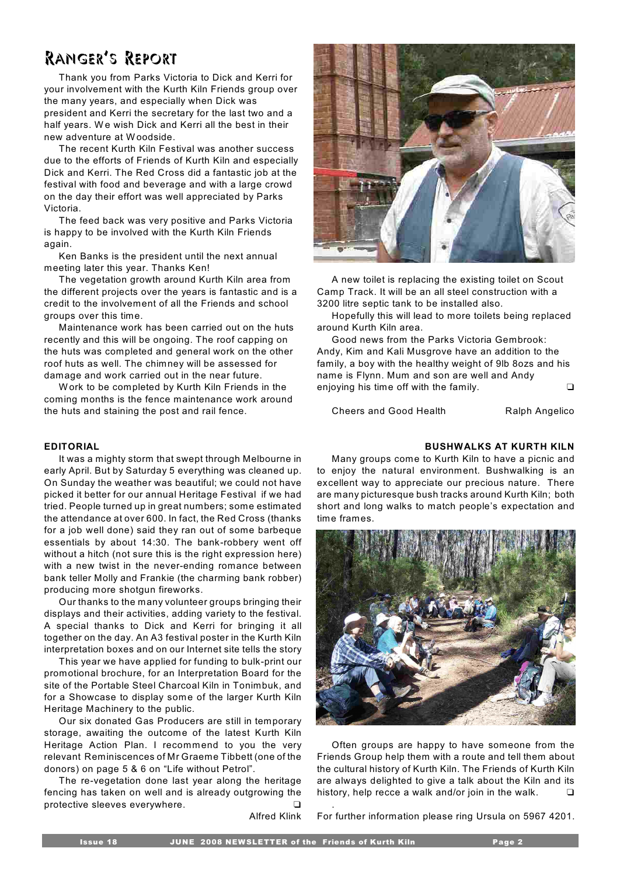# Ranger's Report

Thank you from Parks Victoria to Dick and Kerri for your involvement with the Kurth Kiln Friends group over the many years, and especially when Dick was president and Kerri the secretary for the last two and a half years. We wish Dick and Kerri all the best in their new adventure at Woodside.

The recent Kurth Kiln Festival was another success due to the efforts of Friends of Kurth Kiln and especially Dick and Kerri. The Red Cross did a fantastic job at the festival with food and beverage and with a large crowd on the day their effort was well appreciated by Parks Victoria.

The feed back was very positive and Parks Victoria is happy to be involved with the Kurth Kiln Friends again.

Ken Banks is the president until the next annual meeting later this year. Thanks Ken!

The vegetation growth around Kurth Kiln area from the different projects over the years is fantastic and is a credit to the involvement of all the Friends and school groups over this time.

Maintenance work has been carried out on the huts recently and this will be ongoing. The roof capping on the huts was completed and general work on the other roof huts as well. The chimney will be assessed for damage and work carried out in the near future.

W ork to be completed by Kurth Kiln Friends in the coming months is the fence maintenance work around the huts and staining the post and rail fence.

It was a mighty storm that swept through Melbourne in early April. But by Saturday 5 everything was cleaned up. On Sunday the weather was beautiful; we could not have picked it better for our annual Heritage Festival if we had tried. People turned up in great numbers; some estimated the attendance at over 600. In fact, the Red Cross (thanks for a job well done) said they ran out of some barbeque essentials by about 14:30. The bank-robbery went off without a hitch (not sure this is the right expression here) with a new twist in the never-ending romance between bank teller Molly and Frankie (the charming bank robber) producing more shotgun fireworks.

Our thanks to the many volunteer groups bringing their displays and their activities, adding variety to the festival. A special thanks to Dick and Kerri for bringing it all together on the day. An A3 festival poster in the Kurth Kiln interpretation boxes and on our Internet site tells the story

This year we have applied for funding to bulk-print our promotional brochure, for an Interpretation Board for the site of the Portable Steel Charcoal Kiln in Tonimbuk, and for a Showcase to display some of the larger Kurth Kiln Heritage Machinery to the public.

Our six donated Gas Producers are still in temporary storage, awaiting the outcome of the latest Kurth Kiln Heritage Action Plan. I recommend to you the very relevant Reminiscences of Mr Graeme Tibbett (one of the donors) on page 5 & 6 on "Life without Petrol".

The re-vegetation done last year along the heritage fencing has taken on well and is already outgrowing the protective sleeves everywhere.

Alfred Klink



A new toilet is replacing the existing toilet on Scout Camp Track. It will be an all steel construction with a 3200 litre septic tank to be installed also.

Hopefully this will lead to more toilets being replaced around Kurth Kiln area.

Good news from the Parks Victoria Gembrook: Andy, Kim and Kali Musgrove have an addition to the family, a boy with the healthy weight of 9lb 8ozs and his name is Flynn. Mum and son are well and Andy enjoying his time off with the family.

Cheers and Good Health Ralph Angelico

## **EDITORIAL BUSHWALKS AT KURTH KILN**

Many groups come to Kurth Kiln to have a picnic and to enjoy the natural environment. Bushwalking is an excellent way to appreciate our precious nature. There are many picturesque bush tracks around Kurth Kiln; both short and long walks to match people's expectation and time frames.



Often groups are happy to have someone from the Friends Group help them with a route and tell them about the cultural history of Kurth Kiln. The Friends of Kurth Kiln are always delighted to give a talk about the Kiln and its history, help recce a walk and/or join in the walk.  $\square$ 

For further information please ring Ursula on 5967 4201.

.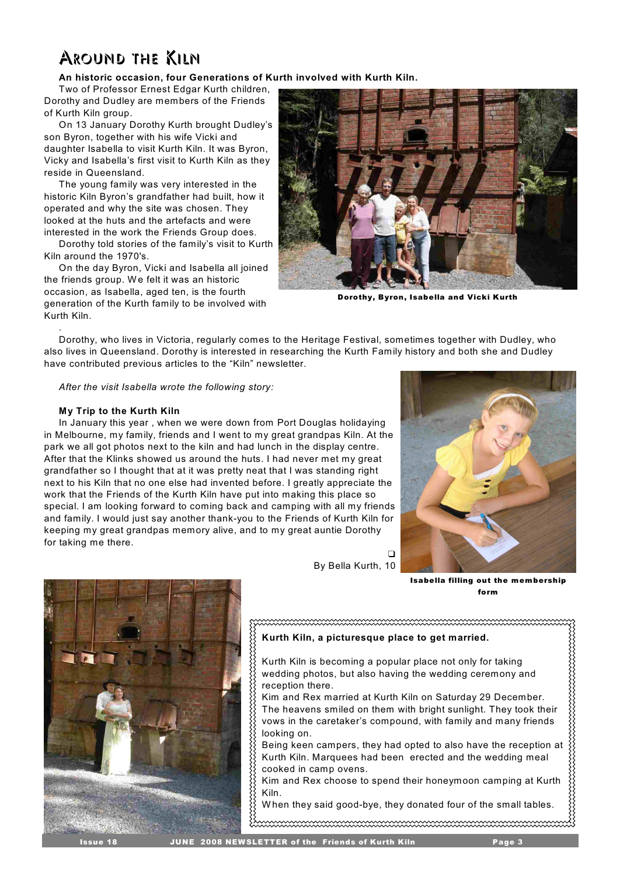# Around the Kiln

## **An historic occasion, four Generations of Kurth involved with Kurth Kiln.**

Two of Professor Ernest Edgar Kurth children, Dorothy and Dudley are members of the Friends of Kurth Kiln group.

On 13 January Dorothy Kurth brought Dudley's son Byron, together with his wife Vicki and daughter Isabella to visit Kurth Kiln. It was Byron, Vicky and Isabella's first visit to Kurth Kiln as they reside in Queensland.

The young family was very interested in the historic Kiln Byron's grandfather had built, how it operated and why the site was chosen. They looked at the huts and the artefacts and were interested in the work the Friends Group does.

Dorothy told stories of the family's visit to Kurth Kiln around the 1970's.

On the day Byron, Vicki and Isabella all joined the friends group. W e felt it was an historic occasion, as Isabella, aged ten, is the fourth generation of the Kurth family to be involved with Kurth Kiln.



Dorothy, Byron, Isabella and Vicki Kurth

Dorothy, who lives in Victoria, regularly comes to the Heritage Festival, sometimes together with Dudley, who also lives in Queensland. Dorothy is interested in researching the Kurth Family history and both she and Dudley have contributed previous articles to the "Kiln" newsletter.

*After the visit Isabella wrote the following story:* 

## **My Trip to the Kurth Kiln**

.

In January this year , when we were down from Port Douglas holidaying in Melbourne, my family, friends and I went to my great grandpas Kiln. At the park we all got photos next to the kiln and had lunch in the display centre. After that the Klinks showed us around the huts. I had never met my great grandfather so I thought that at it was pretty neat that I was standing right next to his Kiln that no one else had invented before. I greatly appreciate the work that the Friends of the Kurth Kiln have put into making this place so special. I am looking forward to coming back and camping with all my friends and family. I would just say another thank-you to the Friends of Kurth Kiln for keeping my great grandpas memory alive, and to my great auntie Dorothy for taking me there.



Isabella filling out the membership form



By Bella Kurth, 10

# **Kurth Kiln, a picturesque place to get married.**  Kurth Kiln is becoming a popular place not only for taking wedding photos, but also having the wedding ceremony and reception there. Kim and Rex married at Kurth Kiln on Saturday 29 December. The heavens smiled on them with bright sunlight. They took their vows in the caretaker's compound, with family and many friends

 $\Box$ 

looking on. Being keen campers, they had opted to also have the reception at Kurth Kiln. Marquees had been erected and the wedding meal cooked in camp ovens.

Kim and Rex choose to spend their honeymoon camping at Kurth Kiln.

W hen they said good-bye, they donated four of the small tables.

 $\ldots$  . The component component component component control  $\ldots$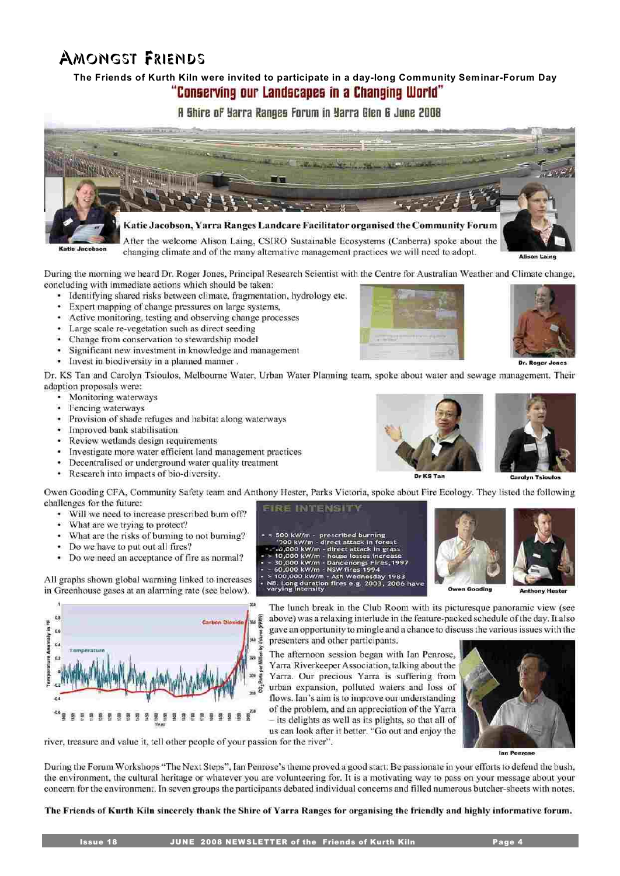- 
- 
- 
- 
- 
- 

Dr. KS Tan and Carolyn Tsioulos, Melbourne Water, Urban Water Planning team, spoke about water and sewage management. Their adaption proposals were:

- Monitoring waterways
- ÷. Fencing waterways
- Provision of shade refuges and habitat along waterways
- · Improved bank stabilisation
- Review wetlands design requirements
- Investigate more water efficient land management practices
- Decentralised or underground water quality treatment
- Research into impacts of bio-diversity.

Owen Gooding CFA, Community Safety team and Anthony Hester, Parks Victoria, spoke about Fire Ecology. They listed the following challenges for the future: **EIRE INTENSITY** 

- Will we need to increase prescribed burn off?
- 60) What are we trying to protect?
- What are the risks of burning to not burning? òн.
- Do we have to put out all fires?

t) in vp

• Do we need an acceptance of fire as normal?

All graphs shown global warming linked to increases in Greenhouse gases at an alarming rate (see below).

> The lunch break in the Club Room with its picturesque panoramic view (see above) was a relaxing interlude in the feature-packed schedule of the day. It also gave an opportunity to mingle and a chance to discuss the various issues with the presenters and other participants.

Yarra Riverkeeper Association, talking about the Yarra. Our precious Yarra is suffering from urban expansion, polluted waters and loss of flows. Ian's aim is to improve our understanding of the problem, and an appreciation of the Yarra - its delights as well as its plights, so that all of us can look after it better. "Go out and enjoy the

river, treasure and value it, tell other people of your passion for the river".

g.

During the Forum Workshops "The Next Steps", Ian Penrose's theme proved a good start: Be passionate in your efforts to defend the bush, the environment, the cultural heritage or whatever you are volunteering for. It is a motivating way to pass on your message about your concern for the environment. In seven groups the participants debated individual concerns and filled numerous butcher-sheets with notes.

The Friends of Kurth Kiln sincerely thank the Shire of Yarra Ranges for organising the friendly and highly informative forum.

# **The Friends of Kurth Kiln were invited to participate in a day-long Community Seminar-Forum Day** "Conserving our Landscapes in a Changing World"

**A Shire of Yarra Ranges Forum in Yarra Glen & June 2008** 

Katie Jacobson, Yarra Ranges Landcare Facilitator organised the Community Forum

After the welcome Alison Laing, CSIRO Sustainable Ecosystems (Canberra) spoke about the changing climate and of the many alternative management practices we will need to adopt.

During the morning we heard Dr. Roger Jones, Principal Research Scientist with the Centre for Australian Weather and Climate change, concluding with immediate actions which should be taken:

- Identifying shared risks between climate, fragmentation, hydrology etc.
- Expert mapping of change pressures on large systems,
- Active monitoring, testing and observing change processes
- Large scale re-vegetation such as direct seeding
- Change from conservation to stewardship model
- Significant new investment in knowledge and management
- Invest in biodiversity in a planned manner.

- 
- 
- 
- 
- 
- 
- 

500 kW/m - prescribed burning<br>
'700 kW/m - direct attack in forest<br>
- 0,000 kW/m - direct attack in grass<br>
10,000 kW/m - house losses increase<br>
30,000 kW/m - Dandenongs Fires, 19<br>
60,000 kW/m - NSW fires 1994

> 100,000 kW/m - Ash Wednesday<br>NB. Long duration fires e.g. 2003,<br>varying intensity













The afternoon session began with Ian Penrose,

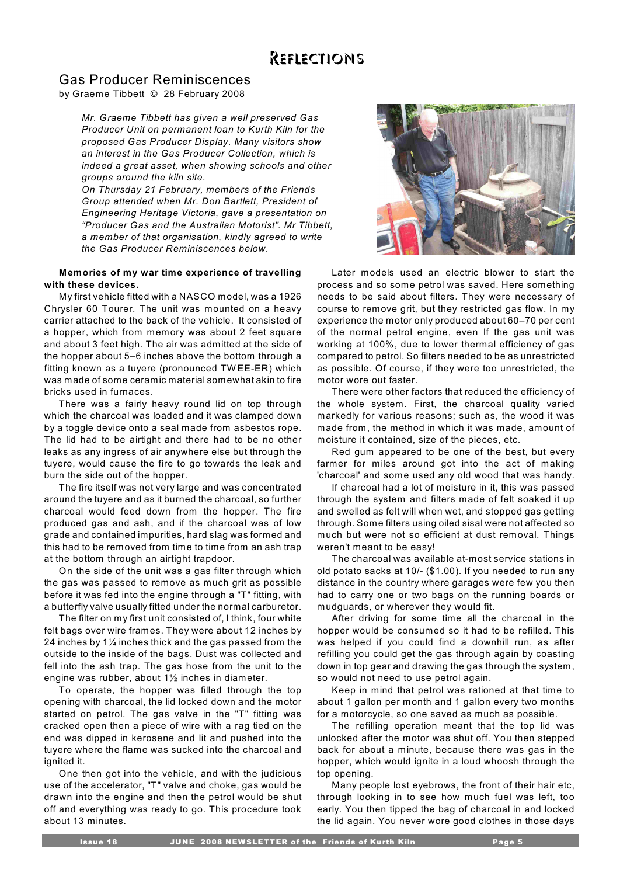# Reflections

# Gas Producer Reminiscences

by Graeme Tibbett © 28 February 2008

*Mr. Graeme Tibbett has given a well preserved Gas Producer Unit on permanent loan to Kurth Kiln for the proposed Gas Producer Display. Many visitors show an interest in the Gas Producer Collection, which is indeed a great asset, when showing schools and other groups around the kiln site.* 

*On Thursday 21 February, members of the Friends Group attended when Mr. Don Bartlett, President of Engineering Heritage Victoria, gave a presentation on "Producer Gas and the Australian Motorist". Mr Tibbett, a member of that organisation, kindly agreed to write the Gas Producer Reminiscences below.*

## **Memories of my war time experience of travelling with these devices.**

My first vehicle fitted with a NASCO model, was a 1926 Chrysler 60 Tourer. The unit was mounted on a heavy carrier attached to the back of the vehicle. It consisted of a hopper, which from memory was about 2 feet square and about 3 feet high. The air was admitted at the side of the hopper about 5–6 inches above the bottom through a fitting known as a tuyere (pronounced TW EE-ER) which was made of some ceramic material somewhat akin to fire bricks used in furnaces.

There was a fairly heavy round lid on top through which the charcoal was loaded and it was clamped down by a toggle device onto a seal made from asbestos rope. The lid had to be airtight and there had to be no other leaks as any ingress of air anywhere else but through the tuyere, would cause the fire to go towards the leak and burn the side out of the hopper.

The fire itself was not very large and was concentrated around the tuyere and as it burned the charcoal, so further charcoal would feed down from the hopper. The fire produced gas and ash, and if the charcoal was of low grade and contained impurities, hard slag was formed and this had to be removed from time to time from an ash trap at the bottom through an airtight trapdoor.

On the side of the unit was a gas filter through which the gas was passed to remove as much grit as possible before it was fed into the engine through a "T" fitting, with a butterfly valve usually fitted under the normal carburetor.

The filter on my first unit consisted of, I think, four white felt bags over wire frames. They were about 12 inches by 24 inches by 1¼ inches thick and the gas passed from the outside to the inside of the bags. Dust was collected and fell into the ash trap. The gas hose from the unit to the engine was rubber, about 1½ inches in diameter.

To operate, the hopper was filled through the top opening with charcoal, the lid locked down and the motor started on petrol. The gas valve in the "T" fitting was cracked open then a piece of wire with a rag tied on the end was dipped in kerosene and lit and pushed into the tuyere where the flame was sucked into the charcoal and ignited it.

One then got into the vehicle, and with the judicious use of the accelerator, "T" valve and choke, gas would be drawn into the engine and then the petrol would be shut off and everything was ready to go. This procedure took about 13 minutes.



Later models used an electric blower to start the process and so some petrol was saved. Here something needs to be said about filters. They were necessary of course to remove grit, but they restricted gas flow. In my experience the motor only produced about 60–70 per cent of the normal petrol engine, even If the gas unit was working at 100%, due to lower thermal efficiency of gas compared to petrol. So filters needed to be as unrestricted as possible. Of course, if they were too unrestricted, the motor wore out faster.

There were other factors that reduced the efficiency of the whole system. First, the charcoal quality varied markedly for various reasons; such as, the wood it was made from, the method in which it was made, amount of moisture it contained, size of the pieces, etc.

Red gum appeared to be one of the best, but every farmer for miles around got into the act of making 'charcoal' and some used any old wood that was handy.

If charcoal had a lot of moisture in it, this was passed through the system and filters made of felt soaked it up and swelled as felt will when wet, and stopped gas getting through. Some filters using oiled sisal were not affected so much but were not so efficient at dust removal. Things weren't meant to be easy!

The charcoal was available at-most service stations in old potato sacks at 10/- (\$1.00). If you needed to run any distance in the country where garages were few you then had to carry one or two bags on the running boards or mudguards, or wherever they would fit.

After driving for some time all the charcoal in the hopper would be consumed so it had to be refilled. This was helped if you could find a downhill run, as after refilling you could get the gas through again by coasting down in top gear and drawing the gas through the system, so would not need to use petrol again.

Keep in mind that petrol was rationed at that time to about 1 gallon per month and 1 gallon every two months for a motorcycle, so one saved as much as possible.

The refilling operation meant that the top lid was unlocked after the motor was shut off. You then stepped back for about a minute, because there was gas in the hopper, which would ignite in a loud whoosh through the top opening.

Many people lost eyebrows, the front of their hair etc, through looking in to see how much fuel was left, too early. You then tipped the bag of charcoal in and locked the lid again. You never wore good clothes in those days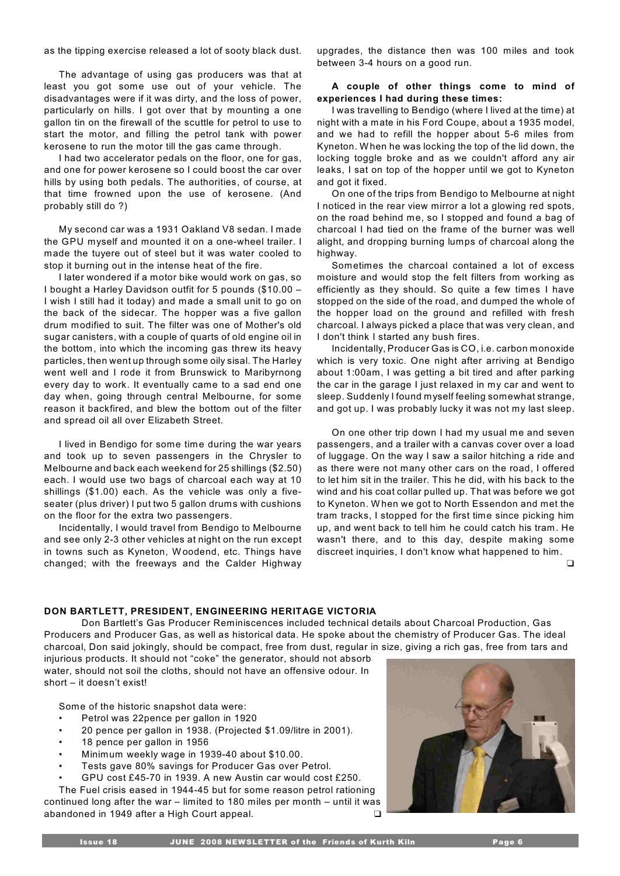as the tipping exercise released a lot of sooty black dust.

The advantage of using gas producers was that at least you got some use out of your vehicle. The disadvantages were if it was dirty, and the loss of power, particularly on hills. I got over that by mounting a one gallon tin on the firewall of the scuttle for petrol to use to start the motor, and filling the petrol tank with power kerosene to run the motor till the gas came through.

I had two accelerator pedals on the floor, one for gas, and one for power kerosene so I could boost the car over hills by using both pedals. The authorities, of course, at that time frowned upon the use of kerosene. (And probably still do ?)

My second car was a 1931 Oakland V8 sedan. I made the GPU myself and mounted it on a one-wheel trailer. I made the tuyere out of steel but it was water cooled to stop it burning out in the intense heat of the fire.

I later wondered if a motor bike would work on gas, so I bought a Harley Davidson outfit for 5 pounds (\$10.00 – I wish I still had it today) and made a small unit to go on the back of the sidecar. The hopper was a five gallon drum modified to suit. The filter was one of Mother's old sugar canisters, with a couple of quarts of old engine oil in the bottom, into which the incoming gas threw its heavy particles, then went up through some oily sisal. The Harley went well and I rode it from Brunswick to Maribyrnong every day to work. It eventually came to a sad end one day when, going through central Melbourne, for some reason it backfired, and blew the bottom out of the filter and spread oil all over Elizabeth Street.

I lived in Bendigo for some time during the war years and took up to seven passengers in the Chrysler to Melbourne and back each weekend for 25 shillings (\$2.50) each. I would use two bags of charcoal each way at 10 shillings (\$1.00) each. As the vehicle was only a fiveseater (plus driver) I put two 5 gallon drums with cushions on the floor for the extra two passengers.

Incidentally, I would travel from Bendigo to Melbourne and see only 2-3 other vehicles at night on the run except in towns such as Kyneton, W oodend, etc. Things have changed; with the freeways and the Calder Highway

upgrades, the distance then was 100 miles and took between 3-4 hours on a good run.

## **A couple of other things come to mind of experiences I had during these times:**

I was travelling to Bendigo (where I lived at the time) at night with a mate in his Ford Coupe, about a 1935 model, and we had to refill the hopper about 5-6 miles from Kyneton. W hen he was locking the top of the lid down, the locking toggle broke and as we couldn't afford any air leaks, I sat on top of the hopper until we got to Kyneton and got it fixed.

On one of the trips from Bendigo to Melbourne at night I noticed in the rear view mirror a lot a glowing red spots, on the road behind me, so I stopped and found a bag of charcoal I had tied on the frame of the burner was well alight, and dropping burning lumps of charcoal along the highway.

Sometimes the charcoal contained a lot of excess moisture and would stop the felt filters from working as efficiently as they should. So quite a few times I have stopped on the side of the road, and dumped the whole of the hopper load on the ground and refilled with fresh charcoal. I always picked a place that was very clean, and I don't think I started any bush fires.

Incidentally, Producer Gas is CO, i.e. carbon monoxide which is very toxic. One night after arriving at Bendigo about 1:00am, I was getting a bit tired and after parking the car in the garage I just relaxed in my car and went to sleep. Suddenly I found myself feeling somewhat strange, and got up. I was probably lucky it was not my last sleep.

On one other trip down I had my usual me and seven passengers, and a trailer with a canvas cover over a load of luggage. On the way I saw a sailor hitching a ride and as there were not many other cars on the road, I offered to let him sit in the trailer. This he did, with his back to the wind and his coat collar pulled up. That was before we got to Kyneton. W hen we got to North Essendon and met the tram tracks, I stopped for the first time since picking him up, and went back to tell him he could catch his tram. He wasn't there, and to this day, despite making some discreet inquiries, I don't know what happened to him.

# **DON BARTLETT, PRESIDENT, ENGINEERING HERITAGE VICTORIA**

Don Bartlett's Gas Producer Reminiscences included technical details about Charcoal Production, Gas Producers and Producer Gas, as well as historical data. He spoke about the chemistry of Producer Gas. The ideal charcoal, Don said jokingly, should be compact, free from dust, regular in size, giving a rich gas, free from tars and

injurious products. It should not "coke" the generator, should not absorb water, should not soil the cloths, should not have an offensive odour. In short – it doesn't exist!

Some of the historic snapshot data were:

- Petrol was 22pence per gallon in 1920
- 20 pence per gallon in 1938. (Projected \$1.09/litre in 2001).
- 18 pence per gallon in 1956
- Minimum weekly wage in 1939-40 about \$10.00.
- Tests gave 80% savings for Producer Gas over Petrol.
- GPU cost £45-70 in 1939. A new Austin car would cost £250.

The Fuel crisis eased in 1944-45 but for some reason petrol rationing continued long after the war – limited to 180 miles per month – until it was abandoned in 1949 after a High Court appeal.

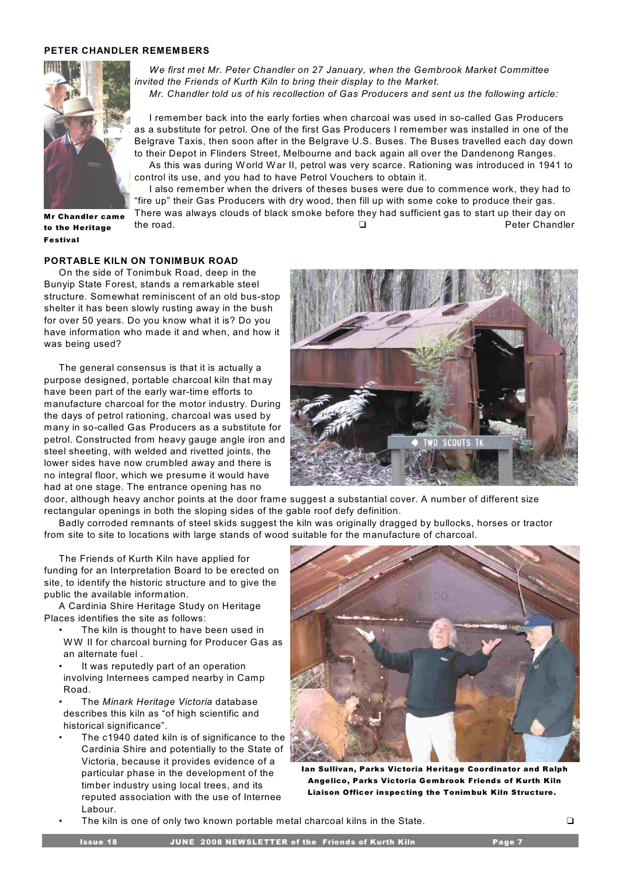## **PETER CHANDLER REMEMBERS**



*We first met Mr. Peter Chandler on 27 January, when the Gembrook Market Committee invited the Friends of Kurth Kiln to bring their display to the Market. Mr. Chandler told us of his recollection of Gas Producers and sent us the following article:*

I remember back into the early forties when charcoal was used in so-called Gas Producers as a substitute for petrol. One of the first Gas Producers I remember was installed in one of the Belgrave Taxis, then soon after in the Belgrave U.S. Buses. The Buses travelled each day down to their Depot in Flinders Street, Melbourne and back again all over the Dandenong Ranges. As this was during World War II, petrol was very scarce. Rationing was introduced in 1941 to

control its use, and you had to have Petrol Vouchers to obtain it.

I also remember when the drivers of theses buses were due to commence work, they had to "fire up" their Gas Producers with dry wood, then fill up with some coke to produce their gas. There was always clouds of black smoke before they had sufficient gas to start up their day on the road. The road and the road of the road and the road and the road and the road and the road and the road and the road and the road and the road and the road and the road and the road and the road and the road and the r

Mr Chandler came to the Heritage **Festival** 

#### **PORTABLE KILN ON TONIMBUK ROAD**

On the side of Tonimbuk Road, deep in the Bunyip State Forest, stands a remarkable steel structure. Somewhat reminiscent of an old bus-stop shelter it has been slowly rusting away in the bush for over 50 years. Do you know what it is? Do you have information who made it and when, and how it was being used?

The general consensus is that it is actually a purpose designed, portable charcoal kiln that may have been part of the early war-time efforts to manufacture charcoal for the motor industry. During the days of petrol rationing, charcoal was used by many in so-called Gas Producers as a substitute for petrol. Constructed from heavy gauge angle iron and steel sheeting, with welded and rivetted joints, the lower sides have now crumbled away and there is no integral floor, which we presume it would have had at one stage. The entrance opening has no



door, although heavy anchor points at the door frame suggest a substantial cover. A number of different size rectangular openings in both the sloping sides of the gable roof defy definition.

Badly corroded remnants of steel skids suggest the kiln was originally dragged by bullocks, horses or tractor from site to site to locations with large stands of wood suitable for the manufacture of charcoal.

The Friends of Kurth Kiln have applied for funding for an Interpretation Board to be erected on site, to identify the historic structure and to give the public the available information.

A Cardinia Shire Heritage Study on Heritage Places identifies the site as follows:

- The kiln is thought to have been used in WW II for charcoal burning for Producer Gas as an alternate fuel .
- It was reputedly part of an operation involving Internees camped nearby in Camp Road.
- The *Minark Heritage Victoria* database describes this kiln as "of high scientific and historical significance".
- The c1940 dated kiln is of significance to the Cardinia Shire and potentially to the State of Victoria, because it provides evidence of a particular phase in the development of the timber industry using local trees, and its reputed association with the use of Internee Labour.



Ian Sullivan, Parks Victoria Heritage Coordinator and Ralph Angelico, Parks Victoria Gembrook Friends of Kurth Kiln Liaison Officer inspecting the Tonimbuk Kiln Structure.

The kiln is one of only two known portable metal charcoal kilns in the State.  $\square$